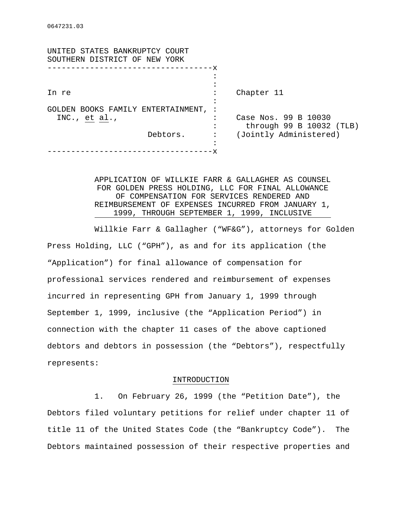| UNITED STATES BANKRUPTCY COURT<br>SOUTHERN DISTRICT OF NEW YORK |                |                          |
|-----------------------------------------------------------------|----------------|--------------------------|
|                                                                 | -x             |                          |
|                                                                 |                |                          |
| In re                                                           |                | Chapter 11               |
|                                                                 |                |                          |
| GOLDEN BOOKS FAMILY ENTERTAINMENT,                              |                |                          |
| INC., $et$ al.,<br>Debtors.                                     | ٠              | Case Nos. 99 B 10030     |
|                                                                 |                | through 99 B 10032 (TLB) |
|                                                                 | $\ddot{\cdot}$ | (Jointly Administered)   |
|                                                                 |                |                          |
|                                                                 |                |                          |

# APPLICATION OF WILLKIE FARR & GALLAGHER AS COUNSEL FOR GOLDEN PRESS HOLDING, LLC FOR FINAL ALLOWANCE OF COMPENSATION FOR SERVICES RENDERED AND REIMBURSEMENT OF EXPENSES INCURRED FROM JANUARY 1, 1999, THROUGH SEPTEMBER 1, 1999, INCLUSIVE

Willkie Farr & Gallagher ("WF&G"), attorneys for Golden Press Holding, LLC ("GPH"), as and for its application (the "Application") for final allowance of compensation for professional services rendered and reimbursement of expenses incurred in representing GPH from January 1, 1999 through September 1, 1999, inclusive (the "Application Period") in connection with the chapter 11 cases of the above captioned debtors and debtors in possession (the "Debtors"), respectfully represents:

### INTRODUCTION

1. On February 26, 1999 (the "Petition Date"), the Debtors filed voluntary petitions for relief under chapter 11 of title 11 of the United States Code (the "Bankruptcy Code"). The Debtors maintained possession of their respective properties and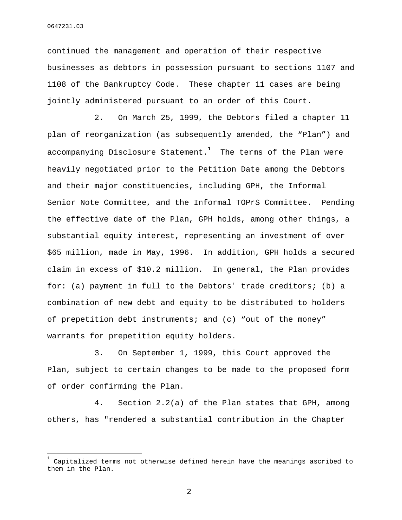÷,

continued the management and operation of their respective businesses as debtors in possession pursuant to sections 1107 and 1108 of the Bankruptcy Code. These chapter 11 cases are being jointly administered pursuant to an order of this Court.

2. On March 25, 1999, the Debtors filed a chapter 11 plan of reorganization (as subsequently amended, the "Plan") and accompanying Disclosure Statement. $^{\rm 1}$  The terms of the Plan were heavily negotiated prior to the Petition Date among the Debtors and their major constituencies, including GPH, the Informal Senior Note Committee, and the Informal TOPrS Committee. Pending the effective date of the Plan, GPH holds, among other things, a substantial equity interest, representing an investment of over \$65 million, made in May, 1996. In addition, GPH holds a secured claim in excess of \$10.2 million. In general, the Plan provides for: (a) payment in full to the Debtors' trade creditors; (b) a combination of new debt and equity to be distributed to holders of prepetition debt instruments; and (c) "out of the money" warrants for prepetition equity holders.

3. On September 1, 1999, this Court approved the Plan, subject to certain changes to be made to the proposed form of order confirming the Plan.

4. Section 2.2(a) of the Plan states that GPH, among others, has "rendered a substantial contribution in the Chapter

2

<sup>1</sup> Capitalized terms not otherwise defined herein have the meanings ascribed to them in the Plan.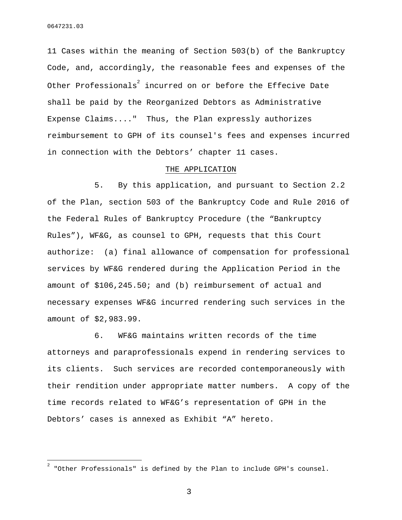11 Cases within the meaning of Section 503(b) of the Bankruptcy Code, and, accordingly, the reasonable fees and expenses of the Other Professionals $\degree$  incurred on or before the Effecive Date shall be paid by the Reorganized Debtors as Administrative Expense Claims...." Thus, the Plan expressly authorizes reimbursement to GPH of its counsel's fees and expenses incurred in connection with the Debtors' chapter 11 cases.

## THE APPLICATION

5. By this application, and pursuant to Section 2.2 of the Plan, section 503 of the Bankruptcy Code and Rule 2016 of the Federal Rules of Bankruptcy Procedure (the "Bankruptcy Rules"), WF&G, as counsel to GPH, requests that this Court authorize: (a) final allowance of compensation for professional services by WF&G rendered during the Application Period in the amount of \$106,245.50; and (b) reimbursement of actual and necessary expenses WF&G incurred rendering such services in the amount of \$2,983.99.

6. WF&G maintains written records of the time attorneys and paraprofessionals expend in rendering services to its clients. Such services are recorded contemporaneously with their rendition under appropriate matter numbers. A copy of the time records related to WF&G's representation of GPH in the Debtors' cases is annexed as Exhibit "A" hereto.

3

 2 "Other Professionals" is defined by the Plan to include GPH's counsel.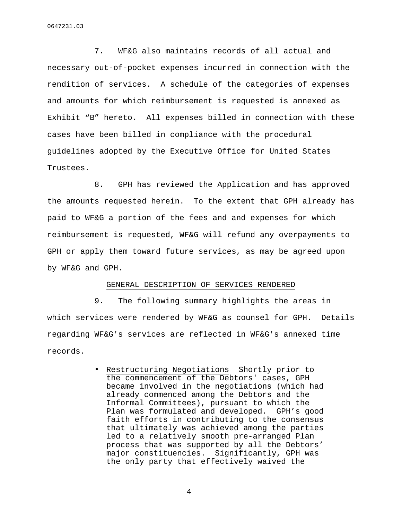0647231.03

7. WF&G also maintains records of all actual and necessary out-of-pocket expenses incurred in connection with the rendition of services. A schedule of the categories of expenses and amounts for which reimbursement is requested is annexed as Exhibit "B" hereto. All expenses billed in connection with these cases have been billed in compliance with the procedural guidelines adopted by the Executive Office for United States Trustees.

8. GPH has reviewed the Application and has approved the amounts requested herein. To the extent that GPH already has paid to WF&G a portion of the fees and and expenses for which reimbursement is requested, WF&G will refund any overpayments to GPH or apply them toward future services, as may be agreed upon by WF&G and GPH.

## GENERAL DESCRIPTION OF SERVICES RENDERED

9. The following summary highlights the areas in which services were rendered by WF&G as counsel for GPH. Details regarding WF&G's services are reflected in WF&G's annexed time records.

> • Restructuring Negotiations Shortly prior to the commencement of the Debtors' cases, GPH became involved in the negotiations (which had already commenced among the Debtors and the Informal Committees), pursuant to which the Plan was formulated and developed. GPH's good faith efforts in contributing to the consensus that ultimately was achieved among the parties led to a relatively smooth pre-arranged Plan process that was supported by all the Debtors' major constituencies. Significantly, GPH was the only party that effectively waived the

> > 4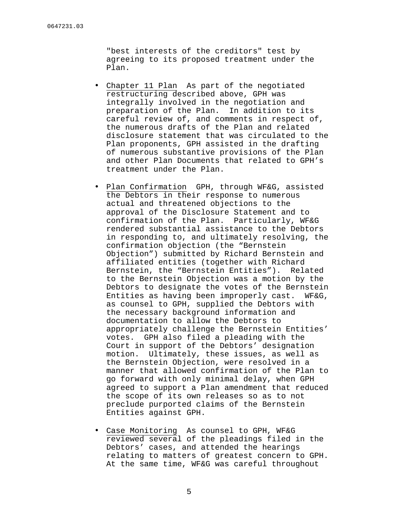"best interests of the creditors" test by agreeing to its proposed treatment under the Plan.

- Chapter 11 Plan As part of the negotiated restructuring described above, GPH was integrally involved in the negotiation and preparation of the Plan. In addition to its careful review of, and comments in respect of, the numerous drafts of the Plan and related disclosure statement that was circulated to the Plan proponents, GPH assisted in the drafting of numerous substantive provisions of the Plan and other Plan Documents that related to GPH's treatment under the Plan.
- Plan Confirmation GPH, through WF&G, assisted the Debtors in their response to numerous actual and threatened objections to the approval of the Disclosure Statement and to confirmation of the Plan. Particularly, WF&G rendered substantial assistance to the Debtors in responding to, and ultimately resolving, the confirmation objection (the "Bernstein Objection") submitted by Richard Bernstein and affiliated entities (together with Richard Bernstein, the "Bernstein Entities"). Related to the Bernstein Objection was a motion by the Debtors to designate the votes of the Bernstein Entities as having been improperly cast. WF&G, as counsel to GPH, supplied the Debtors with the necessary background information and documentation to allow the Debtors to appropriately challenge the Bernstein Entities' votes. GPH also filed a pleading with the Court in support of the Debtors' designation motion. Ultimately, these issues, as well as the Bernstein Objection, were resolved in a manner that allowed confirmation of the Plan to go forward with only minimal delay, when GPH agreed to support a Plan amendment that reduced the scope of its own releases so as to not preclude purported claims of the Bernstein Entities against GPH.
- Case Monitoring As counsel to GPH, WF&G reviewed several of the pleadings filed in the Debtors' cases, and attended the hearings relating to matters of greatest concern to GPH. At the same time, WF&G was careful throughout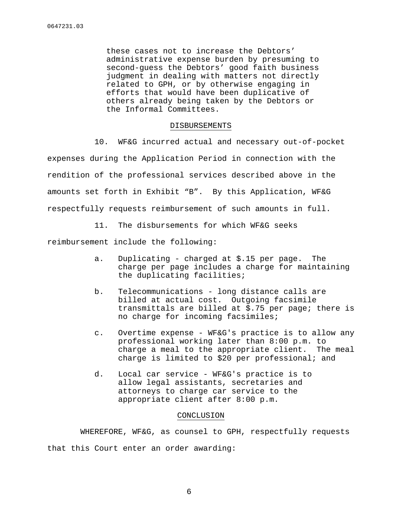these cases not to increase the Debtors' administrative expense burden by presuming to second-guess the Debtors' good faith business judgment in dealing with matters not directly related to GPH, or by otherwise engaging in efforts that would have been duplicative of others already being taken by the Debtors or the Informal Committees.

#### DISBURSEMENTS

10. WF&G incurred actual and necessary out-of-pocket expenses during the Application Period in connection with the rendition of the professional services described above in the amounts set forth in Exhibit "B". By this Application, WF&G respectfully requests reimbursement of such amounts in full.

11. The disbursements for which WF&G seeks

reimbursement include the following:

- a. Duplicating charged at \$.15 per page. The charge per page includes a charge for maintaining the duplicating facilities;
- b. Telecommunications long distance calls are billed at actual cost. Outgoing facsimile transmittals are billed at \$.75 per page; there is no charge for incoming facsimiles;
- c. Overtime expense WF&G's practice is to allow any professional working later than 8:00 p.m. to charge a meal to the appropriate client. The meal charge is limited to \$20 per professional; and
- d. Local car service WF&G's practice is to allow legal assistants, secretaries and attorneys to charge car service to the appropriate client after 8:00 p.m.

# CONCLUSION

WHEREFORE, WF&G, as counsel to GPH, respectfully requests that this Court enter an order awarding: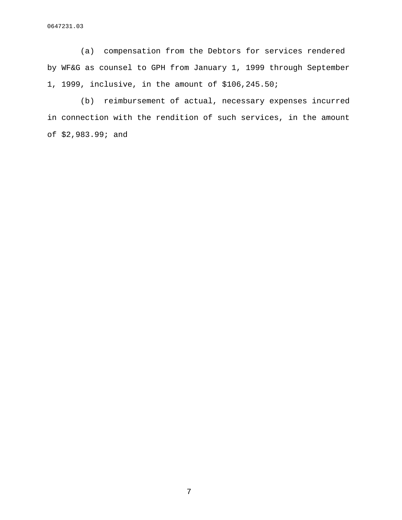0647231.03

(a) compensation from the Debtors for services rendered by WF&G as counsel to GPH from January 1, 1999 through September 1, 1999, inclusive, in the amount of \$106,245.50;

(b) reimbursement of actual, necessary expenses incurred in connection with the rendition of such services, in the amount of \$2,983.99; and